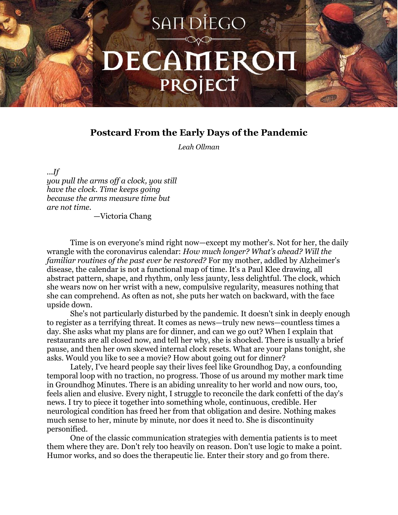## SAN DIEGO DECAMEROI PROJECT

## **Postcard From the Early Days of the Pandemic**

*Leah Ollman*

*...If*

*you pull the arms off a clock, you still have the clock. Time keeps going because the arms measure time but are not time.*

—Victoria Chang

Time is on everyone's mind right now—except my mother's. Not for her, the daily wrangle with the coronavirus calendar: *How much longer? What's ahead? Will the familiar routines of the past ever be restored?* For my mother, addled by Alzheimer's disease, the calendar is not a functional map of time. It's a Paul Klee drawing, all abstract pattern, shape, and rhythm, only less jaunty, less delightful. The clock, which she wears now on her wrist with a new, compulsive regularity, measures nothing that she can comprehend. As often as not, she puts her watch on backward, with the face upside down.

She's not particularly disturbed by the pandemic. It doesn't sink in deeply enough to register as a terrifying threat. It comes as news—truly new news—countless times a day. She asks what my plans are for dinner, and can we go out? When I explain that restaurants are all closed now, and tell her why, she is shocked. There is usually a brief pause, and then her own skewed internal clock resets. What are your plans tonight, she asks. Would you like to see a movie? How about going out for dinner?

Lately, I've heard people say their lives feel like Groundhog Day, a confounding temporal loop with no traction, no progress. Those of us around my mother mark time in Groundhog Minutes. There is an abiding unreality to her world and now ours, too, feels alien and elusive. Every night, I struggle to reconcile the dark confetti of the day's news. I try to piece it together into something whole, continuous, credible. Her neurological condition has freed her from that obligation and desire. Nothing makes much sense to her, minute by minute, nor does it need to. She is discontinuity personified.

One of the classic communication strategies with dementia patients is to meet them where they are. Don't rely too heavily on reason. Don't use logic to make a point. Humor works, and so does the therapeutic lie. Enter their story and go from there.